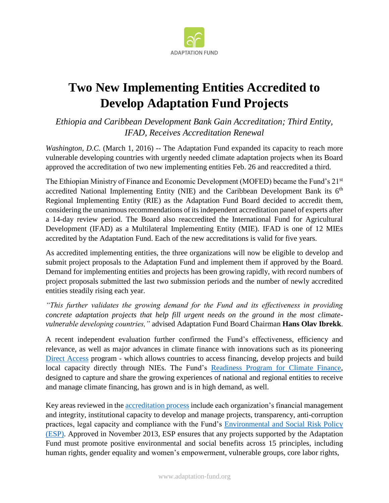

## **Two New Implementing Entities Accredited to Develop Adaptation Fund Projects**

*Ethiopia and Caribbean Development Bank Gain Accreditation; Third Entity, IFAD, Receives Accreditation Renewal*

*Washington, D.C.* (March 1, 2016) -- The Adaptation Fund expanded its capacity to reach more vulnerable developing countries with urgently needed climate adaptation projects when its Board approved the accreditation of two new implementing entities Feb. 26 and reaccredited a third.

The Ethiopian Ministry of Finance and Economic Development (MOFED) became the Fund's 21st accredited National Implementing Entity (NIE) and the Caribbean Development Bank its  $6<sup>th</sup>$ Regional Implementing Entity (RIE) as the Adaptation Fund Board decided to accredit them, considering the unanimous recommendations of its independent accreditation panel of experts after a 14-day review period. The Board also reaccredited the International Fund for Agricultural Development (IFAD) as a Multilateral Implementing Entity (MIE). IFAD is one of 12 MIEs accredited by the Adaptation Fund. Each of the new accreditations is valid for five years.

As accredited implementing entities, the three organizations will now be eligible to develop and submit project proposals to the Adaptation Fund and implement them if approved by the Board. Demand for implementing entities and projects has been growing rapidly, with record numbers of project proposals submitted the last two submission periods and the number of newly accredited entities steadily rising each year.

*"This further validates the growing demand for the Fund and its effectiveness in providing concrete adaptation projects that help fill urgent needs on the ground in the most climatevulnerable developing countries,"* advised Adaptation Fund Board Chairman **Hans Olav Ibrekk**.

A recent independent evaluation further confirmed the Fund's effectiveness, efficiency and relevance, as well as major advances in climate finance with innovations such as its pioneering [Direct Access](https://www.adaptation-fund.org/about/direct-access/) program - which allows countries to access financing, develop projects and build local capacity directly through NIEs. The Fund's [Readiness Program for Climate Finance,](https://www.adaptation-fund.org/readiness/) designed to capture and share the growing experiences of national and regional entities to receive and manage climate financing, has grown and is in high demand, as well.

Key areas reviewed in the [accreditation process](https://www.adaptation-fund.org/apply-funding/accreditation-application/) include each organization's financial management and integrity, institutional capacity to develop and manage projects, transparency, anti-corruption practices, legal capacity and compliance with the Fund's [Environmental and Social Risk Policy](http://www.adaptation-fund.org/wp-content/uploads/2015/01/Environmental%20&%20Social%20Policy%20(approved%20Nov2013).pdf) (ESP). Approved in November 2013, ESP ensures that any projects supported by the Adaptation Fund must promote positive environmental and social benefits across 15 principles, including human rights, gender equality and women's empowerment, vulnerable groups, core labor rights,